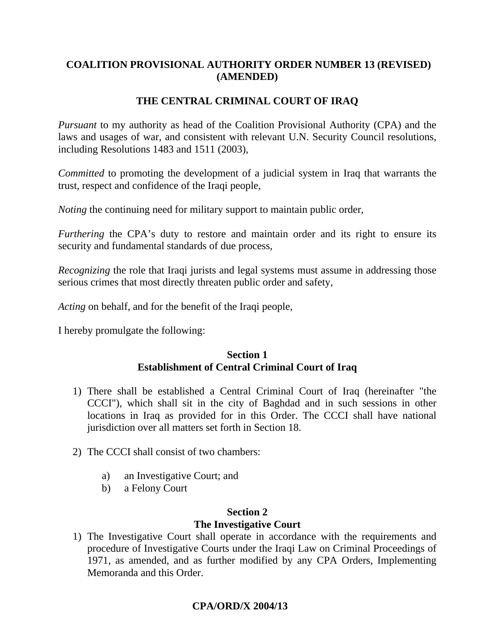## **COALITION PROVISIONAL AUTHORITY ORDER NUMBER 13 (REVISED) (AMENDED)**

# **THE CENTRAL CRIMINAL COURT OF IRAQ**

*Pursuant* to my authority as head of the Coalition Provisional Authority (CPA) and the laws and usages of war, and consistent with relevant U.N. Security Council resolutions, including Resolutions 1483 and 1511 (2003),

*Committed* to promoting the development of a judicial system in Iraq that warrants the trust, respect and confidence of the Iraqi people,

*Noting* the continuing need for military support to maintain public order,

*Furthering* the CPA's duty to restore and maintain order and its right to ensure its security and fundamental standards of due process,

*Recognizing* the role that Iraqi jurists and legal systems must assume in addressing those serious crimes that most directly threaten public order and safety,

*Acting* on behalf, and for the benefit of the Iraqi people,

I hereby promulgate the following:

## **Section 1 Establishment of Central Criminal Court of Iraq**

- 1) There shall be established a Central Criminal Court of Iraq (hereinafter "the CCCI"), which shall sit in the city of Baghdad and in such sessions in other locations in Iraq as provided for in this Order. The CCCI shall have national jurisdiction over all matters set forth in Section 18.
- 2) The CCCI shall consist of two chambers:
	- a) an Investigative Court; and
	- b) a Felony Court

## **Section 2 The Investigative Court**

1) The Investigative Court shall operate in accordance with the requirements and procedure of Investigative Courts under the Iraqi Law on Criminal Proceedings of 1971, as amended, and as further modified by any CPA Orders, Implementing Memoranda and this Order.

# **CPA/ORD/X 2004/13**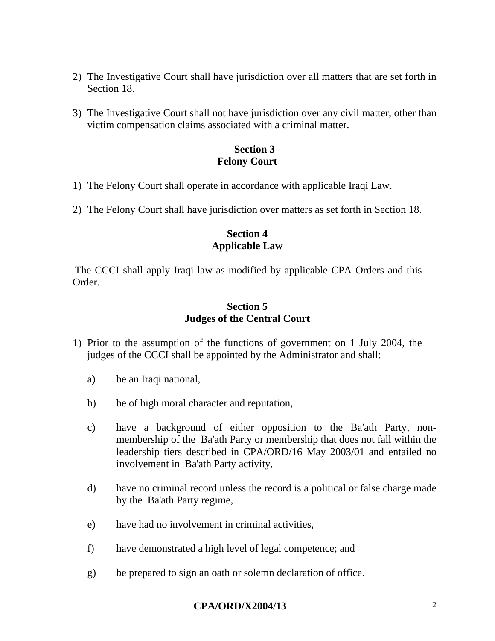- 2) The Investigative Court shall have jurisdiction over all matters that are set forth in Section 18.
- 3) The Investigative Court shall not have jurisdiction over any civil matter, other than victim compensation claims associated with a criminal matter.

#### **Section 3 Felony Court**

- 1) The Felony Court shall operate in accordance with applicable Iraqi Law.
- 2) The Felony Court shall have jurisdiction over matters as set forth in Section 18.

### **Section 4 Applicable Law**

The CCCI shall apply Iraqi law as modified by applicable CPA Orders and this Order.

## **Section 5 Judges of the Central Court**

- 1) Prior to the assumption of the functions of government on 1 July 2004, the judges of the CCCI shall be appointed by the Administrator and shall:
	- a) be an Iraqi national,
	- b) be of high moral character and reputation,
	- c) have a background of either opposition to the Ba'ath Party, nonmembership of the Ba'ath Party or membership that does not fall within the leadership tiers described in CPA/ORD/16 May 2003/01 and entailed no involvement in Ba'ath Party activity,
	- d) have no criminal record unless the record is a political or false charge made by the Ba'ath Party regime,
	- e) have had no involvement in criminal activities,
	- f) have demonstrated a high level of legal competence; and
	- g) be prepared to sign an oath or solemn declaration of office.

### **CPA/ORD/X2004/13** 2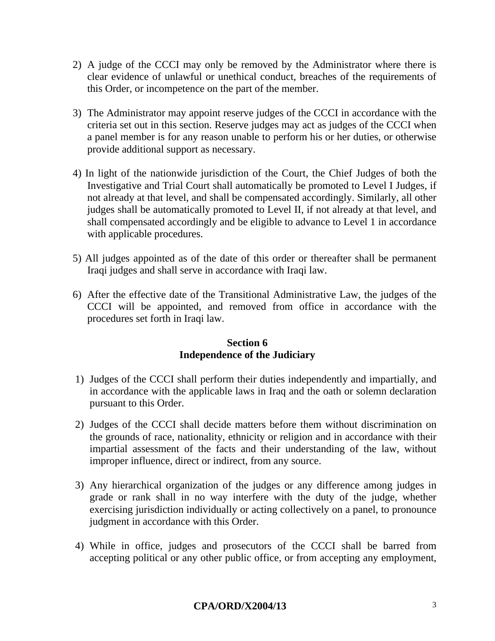- 2) A judge of the CCCI may only be removed by the Administrator where there is clear evidence of unlawful or unethical conduct, breaches of the requirements of this Order, or incompetence on the part of the member.
- 3) The Administrator may appoint reserve judges of the CCCI in accordance with the criteria set out in this section. Reserve judges may act as judges of the CCCI when a panel member is for any reason unable to perform his or her duties, or otherwise provide additional support as necessary.
- 4) In light of the nationwide jurisdiction of the Court, the Chief Judges of both the Investigative and Trial Court shall automatically be promoted to Level I Judges, if not already at that level, and shall be compensated accordingly. Similarly, all other judges shall be automatically promoted to Level II, if not already at that level, and shall compensated accordingly and be eligible to advance to Level 1 in accordance with applicable procedures.
- 5) All judges appointed as of the date of this order or thereafter shall be permanent Iraqi judges and shall serve in accordance with Iraqi law.
- 6) After the effective date of the Transitional Administrative Law, the judges of the CCCI will be appointed, and removed from office in accordance with the procedures set forth in Iraqi law.

#### **Section 6 Independence of the Judiciary**

- 1) Judges of the CCCI shall perform their duties independently and impartially, and in accordance with the applicable laws in Iraq and the oath or solemn declaration pursuant to this Order.
- 2) Judges of the CCCI shall decide matters before them without discrimination on the grounds of race, nationality, ethnicity or religion and in accordance with their impartial assessment of the facts and their understanding of the law, without improper influence, direct or indirect, from any source.
- 3) Any hierarchical organization of the judges or any difference among judges in grade or rank shall in no way interfere with the duty of the judge, whether exercising jurisdiction individually or acting collectively on a panel, to pronounce judgment in accordance with this Order.
- 4) While in office, judges and prosecutors of the CCCI shall be barred from accepting political or any other public office, or from accepting any employment,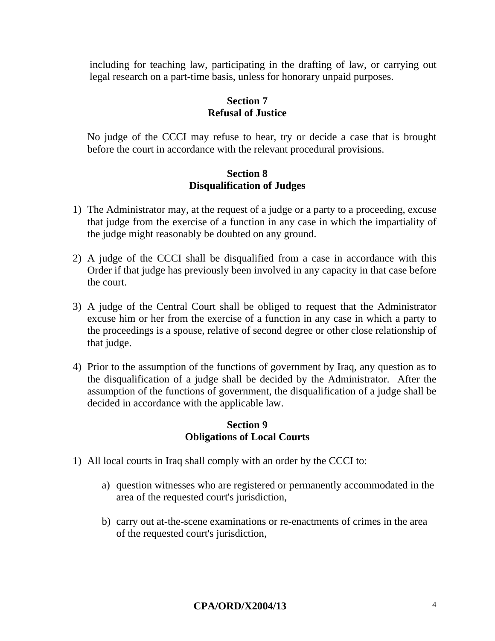including for teaching law, participating in the drafting of law, or carrying out legal research on a part-time basis, unless for honorary unpaid purposes.

## **Section 7 Refusal of Justice**

No judge of the CCCI may refuse to hear, try or decide a case that is brought before the court in accordance with the relevant procedural provisions.

#### **Section 8 Disqualification of Judges**

- 1) The Administrator may, at the request of a judge or a party to a proceeding, excuse that judge from the exercise of a function in any case in which the impartiality of the judge might reasonably be doubted on any ground.
- 2) A judge of the CCCI shall be disqualified from a case in accordance with this Order if that judge has previously been involved in any capacity in that case before the court.
- 3) A judge of the Central Court shall be obliged to request that the Administrator excuse him or her from the exercise of a function in any case in which a party to the proceedings is a spouse, relative of second degree or other close relationship of that judge.
- 4) Prior to the assumption of the functions of government by Iraq, any question as to the disqualification of a judge shall be decided by the Administrator. After the assumption of the functions of government, the disqualification of a judge shall be decided in accordance with the applicable law.

#### **Section 9 Obligations of Local Courts**

- 1) All local courts in Iraq shall comply with an order by the CCCI to:
	- a) question witnesses who are registered or permanently accommodated in the area of the requested court's jurisdiction,
	- b) carry out at-the-scene examinations or re-enactments of crimes in the area of the requested court's jurisdiction,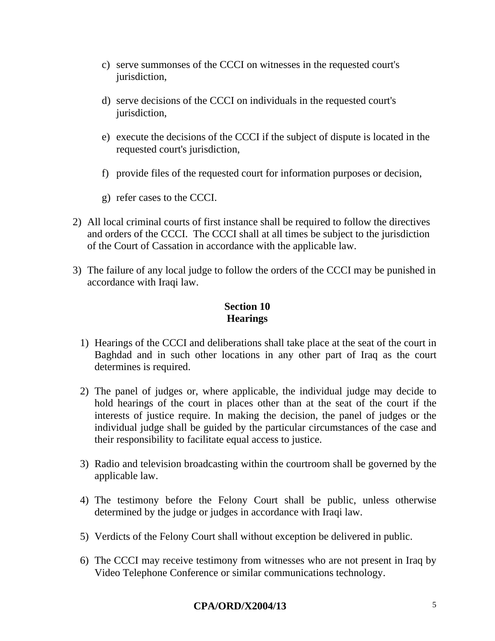- c) serve summonses of the CCCI on witnesses in the requested court's jurisdiction,
- d) serve decisions of the CCCI on individuals in the requested court's jurisdiction,
- e) execute the decisions of the CCCI if the subject of dispute is located in the requested court's jurisdiction,
- f) provide files of the requested court for information purposes or decision,
- g) refer cases to the CCCI.
- 2) All local criminal courts of first instance shall be required to follow the directives and orders of the CCCI. The CCCI shall at all times be subject to the jurisdiction of the Court of Cassation in accordance with the applicable law.
- 3) The failure of any local judge to follow the orders of the CCCI may be punished in accordance with Iraqi law.

# **Section 10 Hearings**

- 1) Hearings of the CCCI and deliberations shall take place at the seat of the court in Baghdad and in such other locations in any other part of Iraq as the court determines is required.
- 2) The panel of judges or, where applicable, the individual judge may decide to hold hearings of the court in places other than at the seat of the court if the interests of justice require. In making the decision, the panel of judges or the individual judge shall be guided by the particular circumstances of the case and their responsibility to facilitate equal access to justice.
- 3) Radio and television broadcasting within the courtroom shall be governed by the applicable law.
- 4) The testimony before the Felony Court shall be public, unless otherwise determined by the judge or judges in accordance with Iraqi law.
- 5) Verdicts of the Felony Court shall without exception be delivered in public.
- 6) The CCCI may receive testimony from witnesses who are not present in Iraq by Video Telephone Conference or similar communications technology.

# **CPA/ORD/X2004/13** 5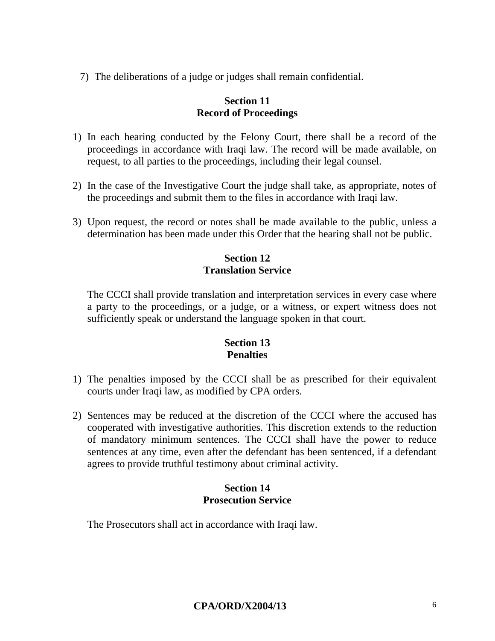7) The deliberations of a judge or judges shall remain confidential.

#### **Section 11 Record of Proceedings**

- 1) In each hearing conducted by the Felony Court, there shall be a record of the proceedings in accordance with Iraqi law. The record will be made available, on request, to all parties to the proceedings, including their legal counsel.
- 2) In the case of the Investigative Court the judge shall take, as appropriate, notes of the proceedings and submit them to the files in accordance with Iraqi law.
- 3) Upon request, the record or notes shall be made available to the public, unless a determination has been made under this Order that the hearing shall not be public.

### **Section 12 Translation Service**

The CCCI shall provide translation and interpretation services in every case where a party to the proceedings, or a judge, or a witness, or expert witness does not sufficiently speak or understand the language spoken in that court.

#### **Section 13 Penalties**

- 1) The penalties imposed by the CCCI shall be as prescribed for their equivalent courts under Iraqi law, as modified by CPA orders.
- 2) Sentences may be reduced at the discretion of the CCCI where the accused has cooperated with investigative authorities. This discretion extends to the reduction of mandatory minimum sentences. The CCCI shall have the power to reduce sentences at any time, even after the defendant has been sentenced, if a defendant agrees to provide truthful testimony about criminal activity.

#### **Section 14 Prosecution Service**

The Prosecutors shall act in accordance with Iraqi law.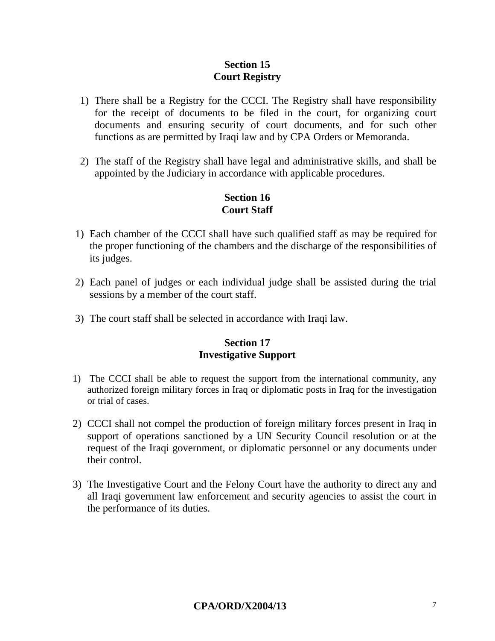## **Section 15 Court Registry**

- 1) There shall be a Registry for the CCCI. The Registry shall have responsibility for the receipt of documents to be filed in the court, for organizing court documents and ensuring security of court documents, and for such other functions as are permitted by Iraqi law and by CPA Orders or Memoranda.
- 2) The staff of the Registry shall have legal and administrative skills, and shall be appointed by the Judiciary in accordance with applicable procedures.

## **Section 16 Court Staff**

- 1) Each chamber of the CCCI shall have such qualified staff as may be required for the proper functioning of the chambers and the discharge of the responsibilities of its judges.
- 2) Each panel of judges or each individual judge shall be assisted during the trial sessions by a member of the court staff.
- 3) The court staff shall be selected in accordance with Iraqi law.

#### **Section 17 Investigative Support**

- 1) The CCCI shall be able to request the support from the international community, any authorized foreign military forces in Iraq or diplomatic posts in Iraq for the investigation or trial of cases.
- 2) CCCI shall not compel the production of foreign military forces present in Iraq in support of operations sanctioned by a UN Security Council resolution or at the request of the Iraqi government, or diplomatic personnel or any documents under their control.
- 3) The Investigative Court and the Felony Court have the authority to direct any and all Iraqi government law enforcement and security agencies to assist the court in the performance of its duties.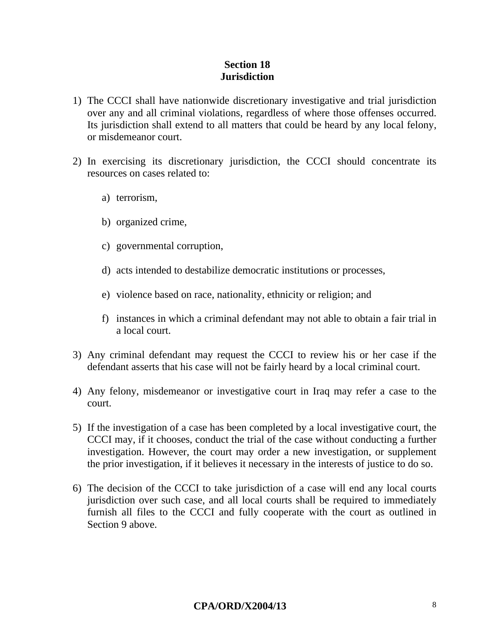## **Section 18 Jurisdiction**

- 1) The CCCI shall have nationwide discretionary investigative and trial jurisdiction over any and all criminal violations, regardless of where those offenses occurred. Its jurisdiction shall extend to all matters that could be heard by any local felony, or misdemeanor court.
- 2) In exercising its discretionary jurisdiction, the CCCI should concentrate its resources on cases related to:
	- a) terrorism,
	- b) organized crime,
	- c) governmental corruption,
	- d) acts intended to destabilize democratic institutions or processes,
	- e) violence based on race, nationality, ethnicity or religion; and
	- f) instances in which a criminal defendant may not able to obtain a fair trial in a local court.
- 3) Any criminal defendant may request the CCCI to review his or her case if the defendant asserts that his case will not be fairly heard by a local criminal court.
- 4) Any felony, misdemeanor or investigative court in Iraq may refer a case to the court.
- 5) If the investigation of a case has been completed by a local investigative court, the CCCI may, if it chooses, conduct the trial of the case without conducting a further investigation. However, the court may order a new investigation, or supplement the prior investigation, if it believes it necessary in the interests of justice to do so.
- 6) The decision of the CCCI to take jurisdiction of a case will end any local courts jurisdiction over such case, and all local courts shall be required to immediately furnish all files to the CCCI and fully cooperate with the court as outlined in Section 9 above.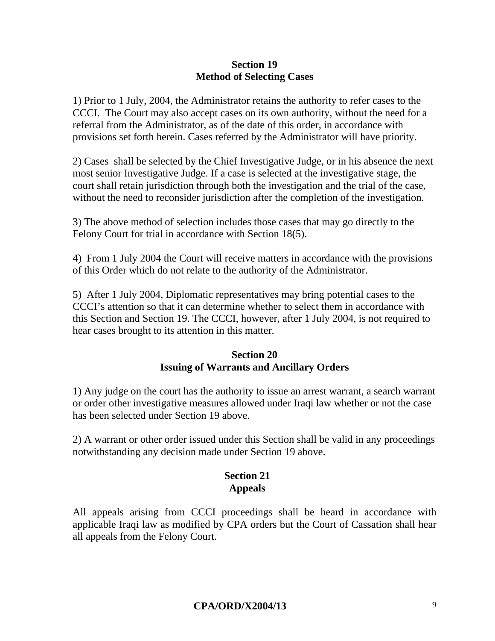### **Section 19 Method of Selecting Cases**

1) Prior to 1 July, 2004, the Administrator retains the authority to refer cases to the CCCI. The Court may also accept cases on its own authority, without the need for a referral from the Administrator, as of the date of this order, in accordance with provisions set forth herein. Cases referred by the Administrator will have priority.

2) Cases shall be selected by the Chief Investigative Judge, or in his absence the next most senior Investigative Judge. If a case is selected at the investigative stage, the court shall retain jurisdiction through both the investigation and the trial of the case, without the need to reconsider jurisdiction after the completion of the investigation.

3) The above method of selection includes those cases that may go directly to the Felony Court for trial in accordance with Section 18(5).

4) From 1 July 2004 the Court will receive matters in accordance with the provisions of this Order which do not relate to the authority of the Administrator.

5) After 1 July 2004, Diplomatic representatives may bring potential cases to the CCCI's attention so that it can determine whether to select them in accordance with this Section and Section 19. The CCCI, however, after 1 July 2004, is not required to hear cases brought to its attention in this matter.

## **Section 20 Issuing of Warrants and Ancillary Orders**

1) Any judge on the court has the authority to issue an arrest warrant, a search warrant or order other investigative measures allowed under Iraqi law whether or not the case has been selected under Section 19 above.

2) A warrant or other order issued under this Section shall be valid in any proceedings notwithstanding any decision made under Section 19 above.

#### **Section 21 Appeals**

All appeals arising from CCCI proceedings shall be heard in accordance with applicable Iraqi law as modified by CPA orders but the Court of Cassation shall hear all appeals from the Felony Court.